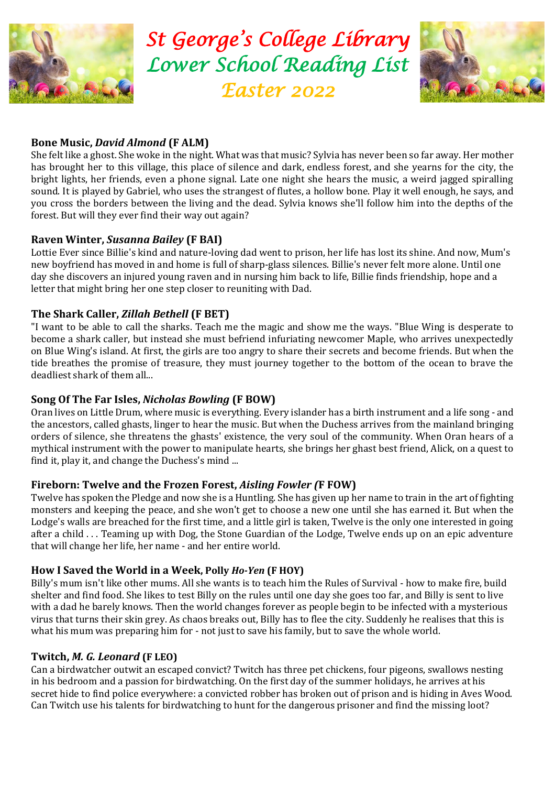

*St George 's College Library Lower School Reading List Easter 2022* 



# **Bone Music,** *David Almond* **(F ALM)**

She felt like a ghost. She woke in the night. What was that music? Sylvia has never been so far away. Her mother has brought her to this village, this place of silence and dark, endless forest, and she yearns for the city, the bright lights, her friends, even a phone signal. Late one night she hears the music, a weird jagged spiralling sound. It is played by Gabriel, who uses the strangest of flutes, a hollow bone. Play it well enough, he says, and you cross the borders between the living and the dead. Sylvia knows she'll follow him into the depths of the forest. But will they ever find their way out again?

# **Raven Winter,** *Susanna Bailey* **(F BAI)**

Lottie Ever since Billie's kind and nature-loving dad went to prison, her life has lost its shine. And now, Mum's new boyfriend has moved in and home is full of sharp-glass silences. Billie's never felt more alone. Until one day she discovers an injured young raven and in nursing him back to life, Billie finds friendship, hope and a letter that might bring her one step closer to reuniting with Dad.

## **The Shark Caller,** *Zillah Bethell* **(F BET)**

"I want to be able to call the sharks. Teach me the magic and show me the ways. "Blue Wing is desperate to become a shark caller, but instead she must befriend infuriating newcomer Maple, who arrives unexpectedly on Blue Wing's island. At first, the girls are too angry to share their secrets and become friends. But when the tide breathes the promise of treasure, they must journey together to the bottom of the ocean to brave the deadliest shark of them all...

### **Song Of The Far Isles,** *Nicholas Bowling* **(F BOW)**

Oran lives on Little Drum, where music is everything. Every islander has a birth instrument and a life song - and the ancestors, called ghasts, linger to hear the music. But when the Duchess arrives from the mainland bringing orders of silence, she threatens the ghasts' existence, the very soul of the community. When Oran hears of a mythical instrument with the power to manipulate hearts, she brings her ghast best friend, Alick, on a quest to find it, play it, and change the Duchess's mind ...

#### **Fireborn: Twelve and the Frozen Forest,** *Aisling Fowler (***F FOW)**

Twelve has spoken the Pledge and now she is a Huntling. She has given up her name to train in the art of fighting monsters and keeping the peace, and she won't get to choose a new one until she has earned it. But when the Lodge's walls are breached for the first time, and a little girl is taken, Twelve is the only one interested in going after a child . . . Teaming up with Dog, the Stone Guardian of the Lodge, Twelve ends up on an epic adventure that will change her life, her name - and her entire world.

#### **How I Saved the World in a Week, Polly** *Ho-Yen* **(F HOY)**

Billy's mum isn't like other mums. All she wants is to teach him the Rules of Survival - how to make fire, build shelter and find food. She likes to test Billy on the rules until one day she goes too far, and Billy is sent to live with a dad he barely knows. Then the world changes forever as people begin to be infected with a mysterious virus that turns their skin grey. As chaos breaks out, Billy has to flee the city. Suddenly he realises that this is what his mum was preparing him for - not just to save his family, but to save the whole world.

#### **Twitch,** *M. G. Leonard* **(F LEO)**

Can a birdwatcher outwit an escaped convict? Twitch has three pet chickens, four pigeons, swallows nesting in his bedroom and a passion for birdwatching. On the first day of the summer holidays, he arrives at his secret hide to find police everywhere: a convicted robber has broken out of prison and is hiding in Aves Wood. Can Twitch use his talents for birdwatching to hunt for the dangerous prisoner and find the missing loot?